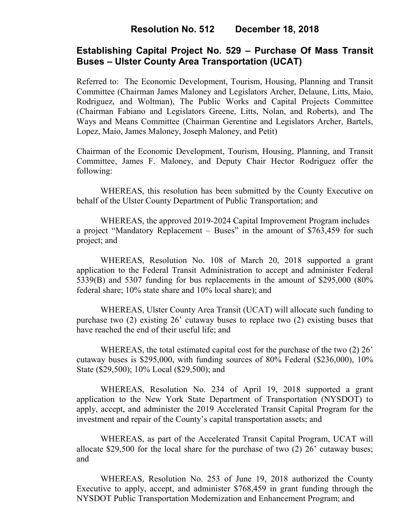## **Resolution No. 512 December 18, 2018**

# **Establishing Capital Project No. 529 – Purchase Of Mass Transit Buses – Ulster County Area Transportation (UCAT)**

Referred to: The Economic Development, Tourism, Housing, Planning and Transit Committee (Chairman James Maloney and Legislators Archer, Delaune, Litts, Maio, Rodriguez, and Woltman), The Public Works and Capital Projects Committee (Chairman Fabiano and Legislators Greene, Litts, Nolan, and Roberts), and The Ways and Means Committee (Chairman Gerentine and Legislators Archer, Bartels, Lopez, Maio, James Maloney, Joseph Maloney, and Petit)

Chairman of the Economic Development, Tourism, Housing, Planning, and Transit Committee, James F. Maloney, and Deputy Chair Hector Rodriguez offer the following:

WHEREAS, this resolution has been submitted by the County Executive on behalf of the Ulster County Department of Public Transportation; and

WHEREAS, the approved 2019-2024 Capital Improvement Program includes a project "Mandatory Replacement – Buses" in the amount of \$763,459 for such project; and

WHEREAS, Resolution No. 108 of March 20, 2018 supported a grant application to the Federal Transit Administration to accept and administer Federal 5339(B) and 5307 funding for bus replacements in the amount of \$295,000 (80% federal share; 10% state share and 10% local share); and

WHEREAS, Ulster County Area Transit (UCAT) will allocate such funding to purchase two (2) existing 26' cutaway buses to replace two (2) existing buses that have reached the end of their useful life; and

WHEREAS, the total estimated capital cost for the purchase of the two (2) 26' cutaway buses is \$295,000, with funding sources of 80% Federal (\$236,000), 10% State (\$29,500); 10% Local (\$29,500); and

WHEREAS, Resolution No. 234 of April 19, 2018 supported a grant application to the New York State Department of Transportation (NYSDOT) to apply, accept, and administer the 2019 Accelerated Transit Capital Program for the investment and repair of the County's capital transportation assets; and

WHEREAS, as part of the Accelerated Transit Capital Program, UCAT will allocate \$29,500 for the local share for the purchase of two (2) 26' cutaway buses; and

WHEREAS, Resolution No. 253 of June 19, 2018 authorized the County Executive to apply, accept, and administer \$768,459 in grant funding through the NYSDOT Public Transportation Modernization and Enhancement Program; and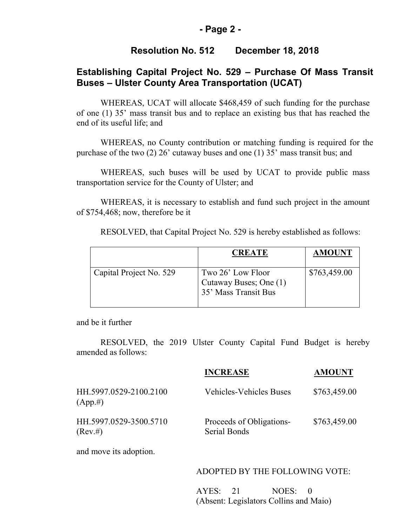### **- Page 2 -**

### **Resolution No. 512 December 18, 2018**

# **Establishing Capital Project No. 529 – Purchase Of Mass Transit Buses – Ulster County Area Transportation (UCAT)**

WHEREAS, UCAT will allocate \$468,459 of such funding for the purchase of one (1) 35' mass transit bus and to replace an existing bus that has reached the end of its useful life; and

WHEREAS, no County contribution or matching funding is required for the purchase of the two (2) 26' cutaway buses and one (1) 35' mass transit bus; and

WHEREAS, such buses will be used by UCAT to provide public mass transportation service for the County of Ulster; and

WHEREAS, it is necessary to establish and fund such project in the amount of \$754,468; now, therefore be it

|                         | <b>CREATE</b>                                                       | <b>AMOUNT</b> |
|-------------------------|---------------------------------------------------------------------|---------------|
| Capital Project No. 529 | Two 26' Low Floor<br>Cutaway Buses; One (1)<br>35' Mass Transit Bus | \$763,459.00  |

RESOLVED, that Capital Project No. 529 is hereby established as follows:

and be it further

RESOLVED, the 2019 Ulster County Capital Fund Budget is hereby amended as follows:

|                                       | <b>INCREASE</b>                          | <b>AMOUNT</b> |
|---------------------------------------|------------------------------------------|---------------|
| HH.5997.0529-2100.2100<br>$(App. \#)$ | <b>Vehicles-Vehicles Buses</b>           | \$763,459.00  |
| HH.5997.0529-3500.5710<br>$(Rev. \#)$ | Proceeds of Obligations-<br>Serial Bonds | \$763,459.00  |

and move its adoption.

#### ADOPTED BY THE FOLLOWING VOTE:

AYES: 21 NOES: 0 (Absent: Legislators Collins and Maio)